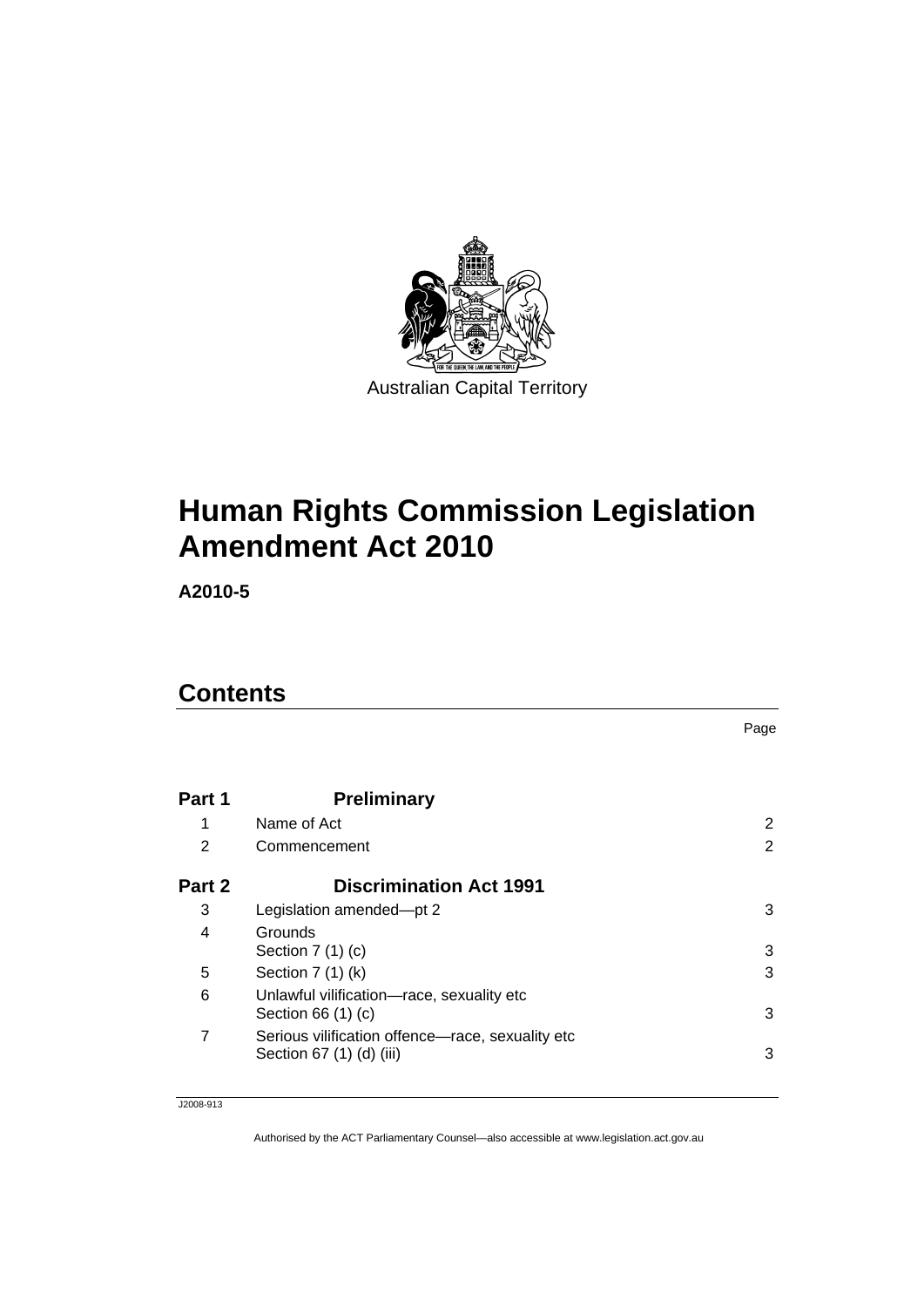

# **[Human Rights Commission Legislation](#page-2-0)  [Amendment Act 2010](#page-2-0)**

**A2010-5** 

# **Contents**

|        |                                                                              | Page |
|--------|------------------------------------------------------------------------------|------|
| Part 1 | <b>Preliminary</b>                                                           |      |
| 1      | Name of Act                                                                  | 2    |
| 2      | Commencement                                                                 | 2    |
| Part 2 | <b>Discrimination Act 1991</b>                                               |      |
| 3      | Legislation amended-pt 2                                                     | 3    |
| 4      | Grounds<br>Section $7(1)(c)$                                                 | 3    |
| 5      | Section 7 (1) (k)                                                            | 3    |
| 6      | Unlawful vilification-race, sexuality etc<br>Section 66 (1) (c)              | 3    |
| 7      | Serious vilification offence-race, sexuality etc<br>Section 67 (1) (d) (iii) | 3    |

J2008-913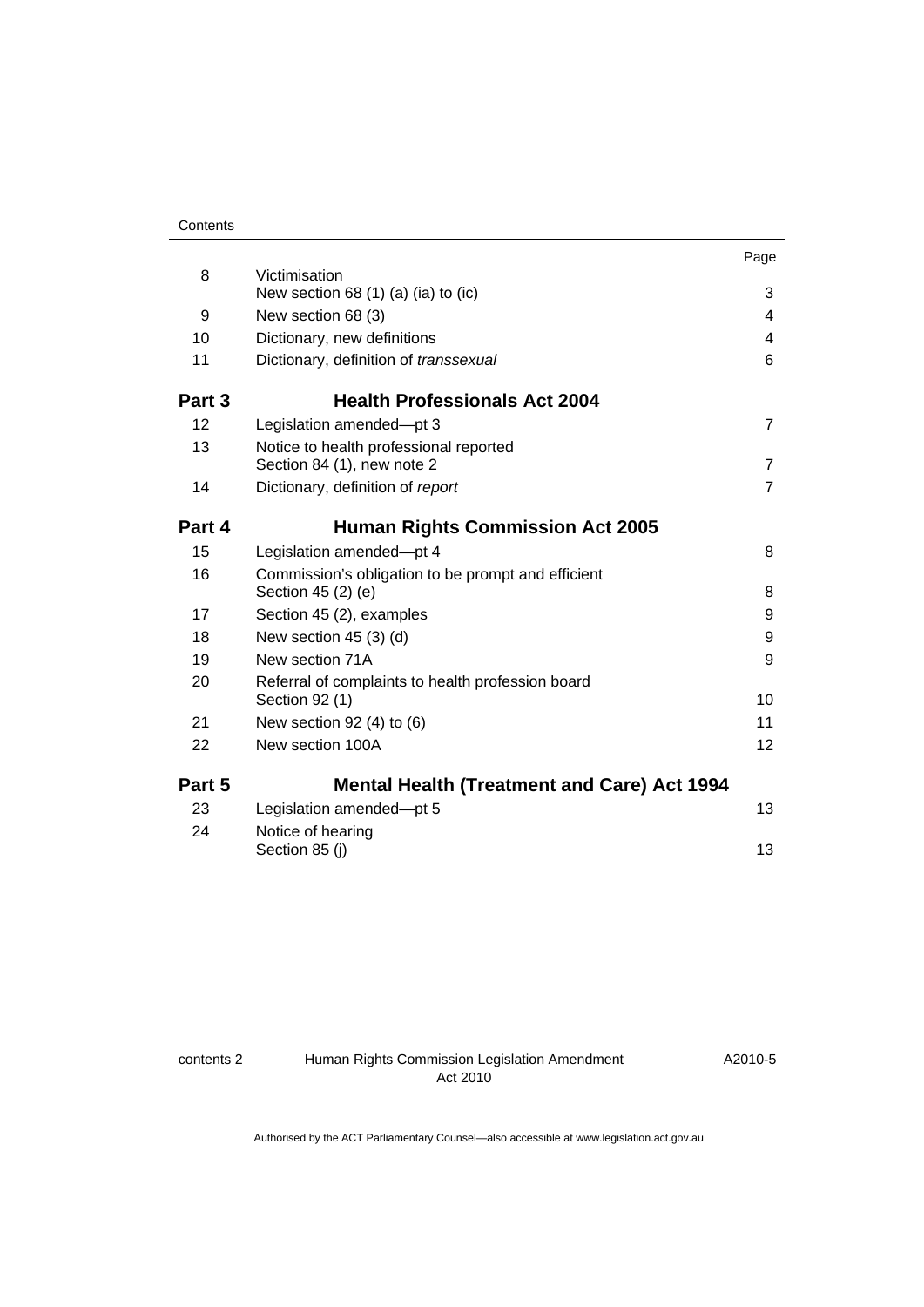|        |                                                                          | Page           |
|--------|--------------------------------------------------------------------------|----------------|
| 8      | Victimisation                                                            |                |
|        | New section 68 $(1)$ $(a)$ $(ia)$ to $(ic)$                              | 3              |
| 9      | New section 68 (3)                                                       | 4              |
| 10     | Dictionary, new definitions                                              | 4              |
| 11     | Dictionary, definition of transsexual                                    | 6              |
| Part 3 | <b>Health Professionals Act 2004</b>                                     |                |
| 12     | Legislation amended-pt 3                                                 | $\overline{7}$ |
| 13     | Notice to health professional reported<br>Section 84 (1), new note 2     | $\overline{7}$ |
| 14     | Dictionary, definition of report                                         | $\overline{7}$ |
| Part 4 | <b>Human Rights Commission Act 2005</b>                                  |                |
| 15     | Legislation amended-pt 4                                                 | 8              |
| 16     | Commission's obligation to be prompt and efficient<br>Section 45 (2) (e) | 8              |
| 17     | Section 45 (2), examples                                                 | 9              |
| 18     | New section $45(3)(d)$                                                   | 9              |
| 19     | New section 71A                                                          | 9              |
| 20     | Referral of complaints to health profession board<br>Section 92 (1)      | 10             |
| 21     | New section $92(4)$ to $(6)$                                             | 11             |
| 22     | New section 100A                                                         | 12             |
| Part 5 | <b>Mental Health (Treatment and Care) Act 1994</b>                       |                |
| 23     | Legislation amended-pt 5                                                 | 13             |
| 24     | Notice of hearing                                                        |                |
|        | Section 85 (j)                                                           | 13             |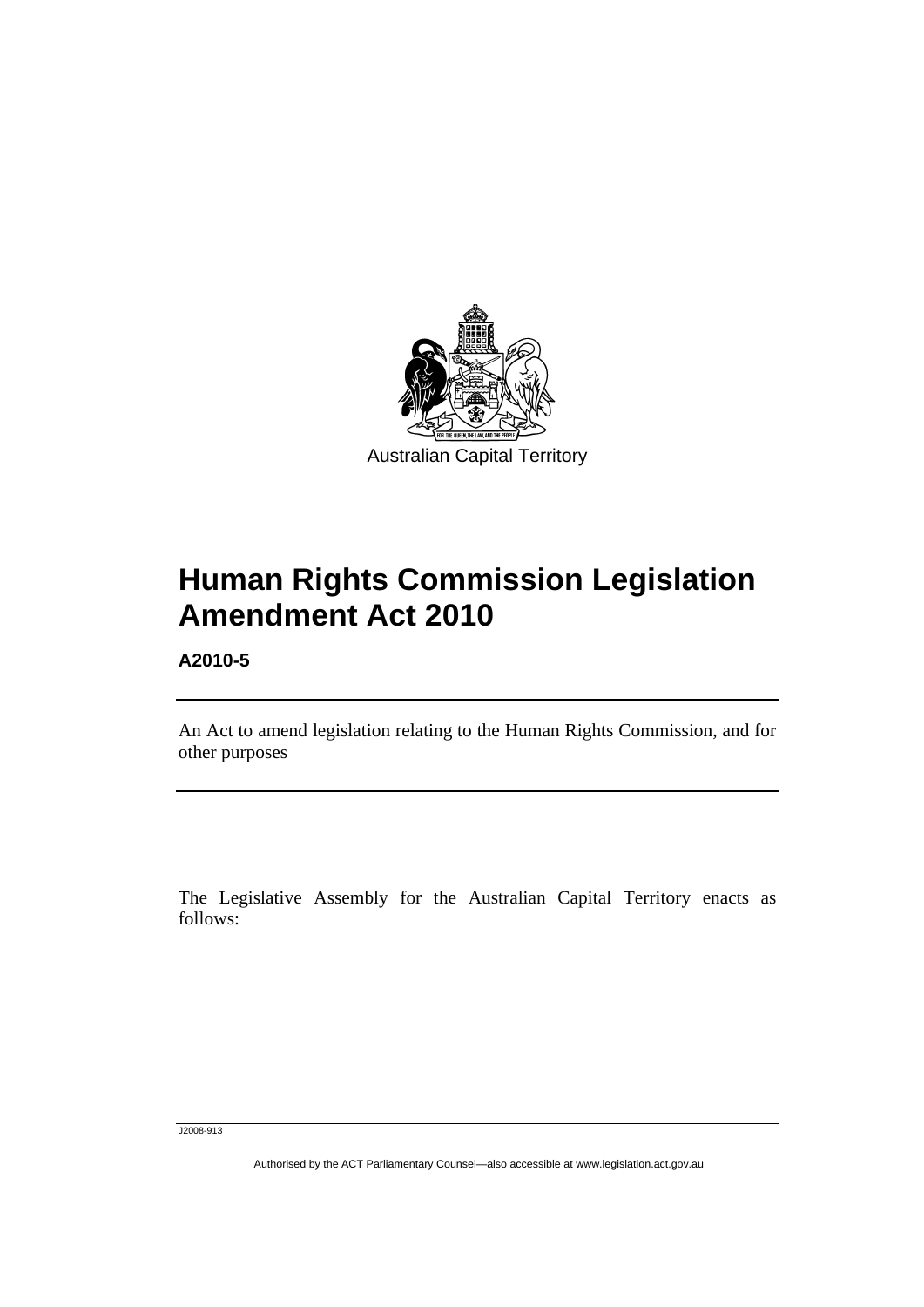<span id="page-2-0"></span>

# **Human Rights Commission Legislation Amendment Act 2010**

**A2010-5** 

l

An Act to amend legislation relating to the Human Rights Commission, and for other purposes

The Legislative Assembly for the Australian Capital Territory enacts as follows:

J2008-913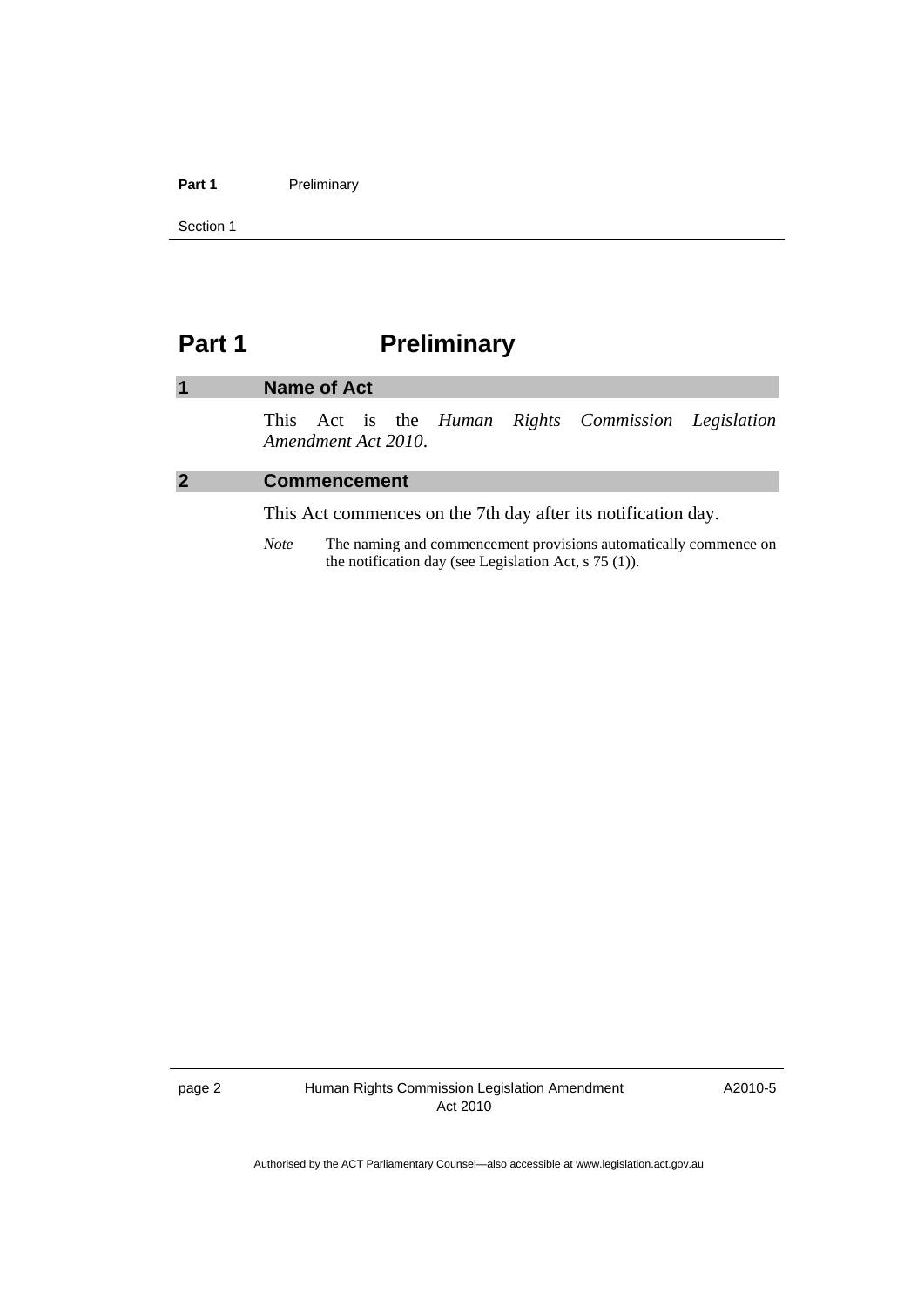### <span id="page-3-0"></span>Part 1 **Preliminary**

Section 1

# **Part 1** Preliminary

### **1 Name of Act**

This Act is the *Human Rights Commission Legislation Amendment Act 2010*.

### **2 Commencement**

This Act commences on the 7th day after its notification day.

*Note* The naming and commencement provisions automatically commence on the notification day (see Legislation Act, s 75 (1)).

A2010-5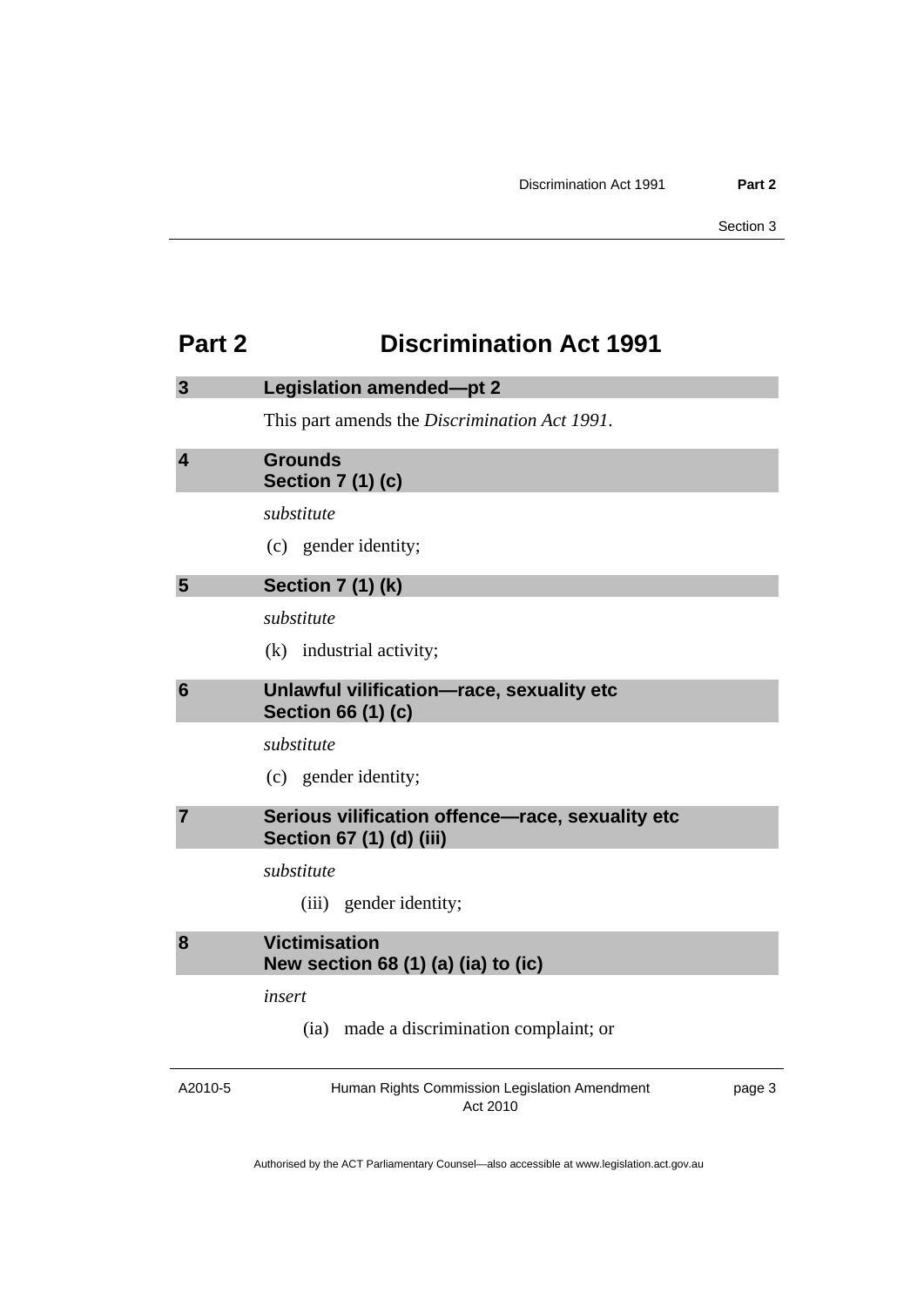# <span id="page-4-0"></span>**Part 2 Discrimination Act 1991**

| 3                       | <b>Legislation amended-pt 2</b>                                              |        |  |
|-------------------------|------------------------------------------------------------------------------|--------|--|
|                         | This part amends the Discrimination Act 1991.                                |        |  |
| $\overline{\mathbf{4}}$ | <b>Grounds</b><br><b>Section 7 (1) (c)</b>                                   |        |  |
|                         | substitute                                                                   |        |  |
|                         | (c) gender identity;                                                         |        |  |
| 5                       | <b>Section 7 (1) (k)</b>                                                     |        |  |
|                         | substitute                                                                   |        |  |
|                         | (k) industrial activity;                                                     |        |  |
| 6                       | Unlawful vilification-race, sexuality etc<br><b>Section 66 (1) (c)</b>       |        |  |
|                         | substitute                                                                   |        |  |
|                         | (c) gender identity;                                                         |        |  |
| 7                       | Serious vilification offence-race, sexuality etc<br>Section 67 (1) (d) (iii) |        |  |
|                         | substitute                                                                   |        |  |
|                         | (iii) gender identity;                                                       |        |  |
| 8                       | <b>Victimisation</b><br>New section 68 (1) (a) (ia) to (ic)                  |        |  |
|                         | insert                                                                       |        |  |
|                         | (ia) made a discrimination complaint; or                                     |        |  |
| A2010-5                 | Human Rights Commission Legislation Amendment                                | page 3 |  |

Act 2010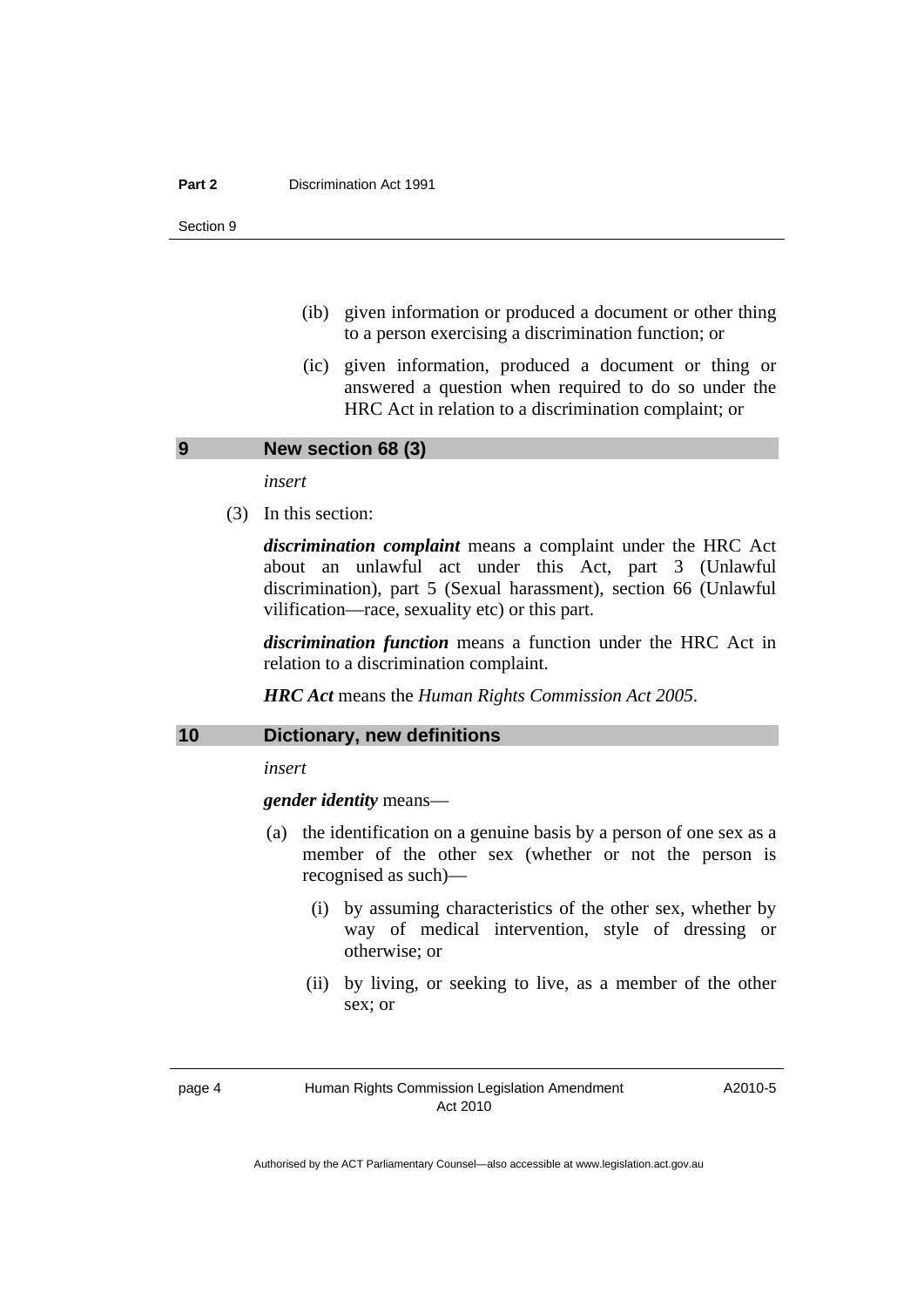#### <span id="page-5-0"></span>**Part 2 Discrimination Act 1991**

Section 9

- (ib) given information or produced a document or other thing to a person exercising a discrimination function; or
- (ic) given information, produced a document or thing or answered a question when required to do so under the HRC Act in relation to a discrimination complaint; or

#### **9 New section 68 (3)**

*insert* 

(3) In this section:

*discrimination complaint* means a complaint under the HRC Act about an unlawful act under this Act, part 3 (Unlawful discrimination), part 5 (Sexual harassment), section 66 (Unlawful vilification—race, sexuality etc) or this part.

*discrimination function* means a function under the HRC Act in relation to a discrimination complaint.

*HRC Act* means the *Human Rights Commission Act 2005*.

#### **10 Dictionary, new definitions**

*insert* 

*gender identity* means—

- (a) the identification on a genuine basis by a person of one sex as a member of the other sex (whether or not the person is recognised as such)—
	- (i) by assuming characteristics of the other sex, whether by way of medical intervention, style of dressing or otherwise; or
	- (ii) by living, or seeking to live, as a member of the other sex; or

page 4 Human Rights Commission Legislation Amendment Act 2010

A2010-5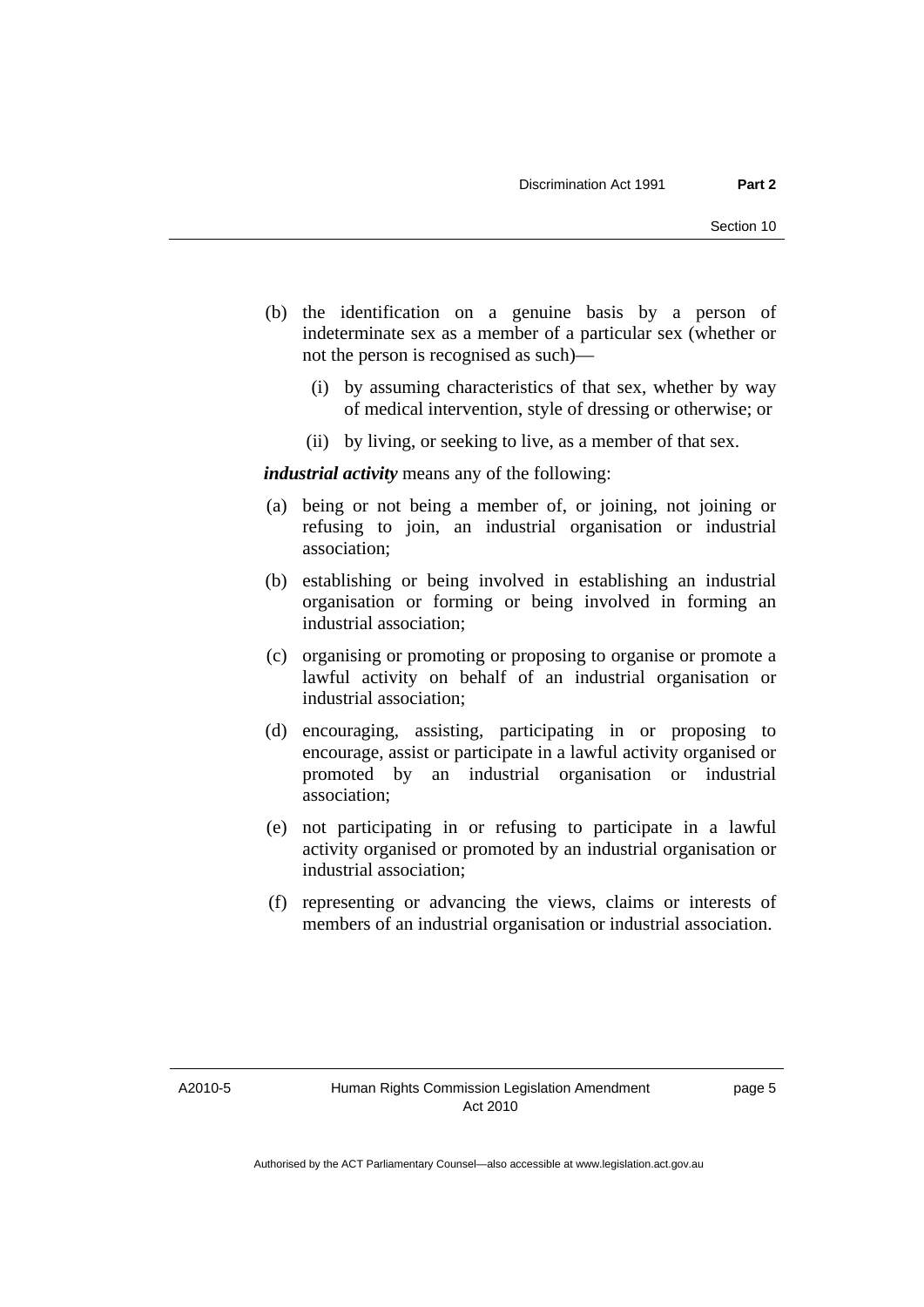- (b) the identification on a genuine basis by a person of indeterminate sex as a member of a particular sex (whether or not the person is recognised as such)—
	- (i) by assuming characteristics of that sex, whether by way of medical intervention, style of dressing or otherwise; or
	- (ii) by living, or seeking to live, as a member of that sex.

*industrial activity* means any of the following:

- (a) being or not being a member of, or joining, not joining or refusing to join, an industrial organisation or industrial association;
- (b) establishing or being involved in establishing an industrial organisation or forming or being involved in forming an industrial association;
- (c) organising or promoting or proposing to organise or promote a lawful activity on behalf of an industrial organisation or industrial association;
- (d) encouraging, assisting, participating in or proposing to encourage, assist or participate in a lawful activity organised or promoted by an industrial organisation or industrial association;
- (e) not participating in or refusing to participate in a lawful activity organised or promoted by an industrial organisation or industrial association;
- (f) representing or advancing the views, claims or interests of members of an industrial organisation or industrial association.

A2010-5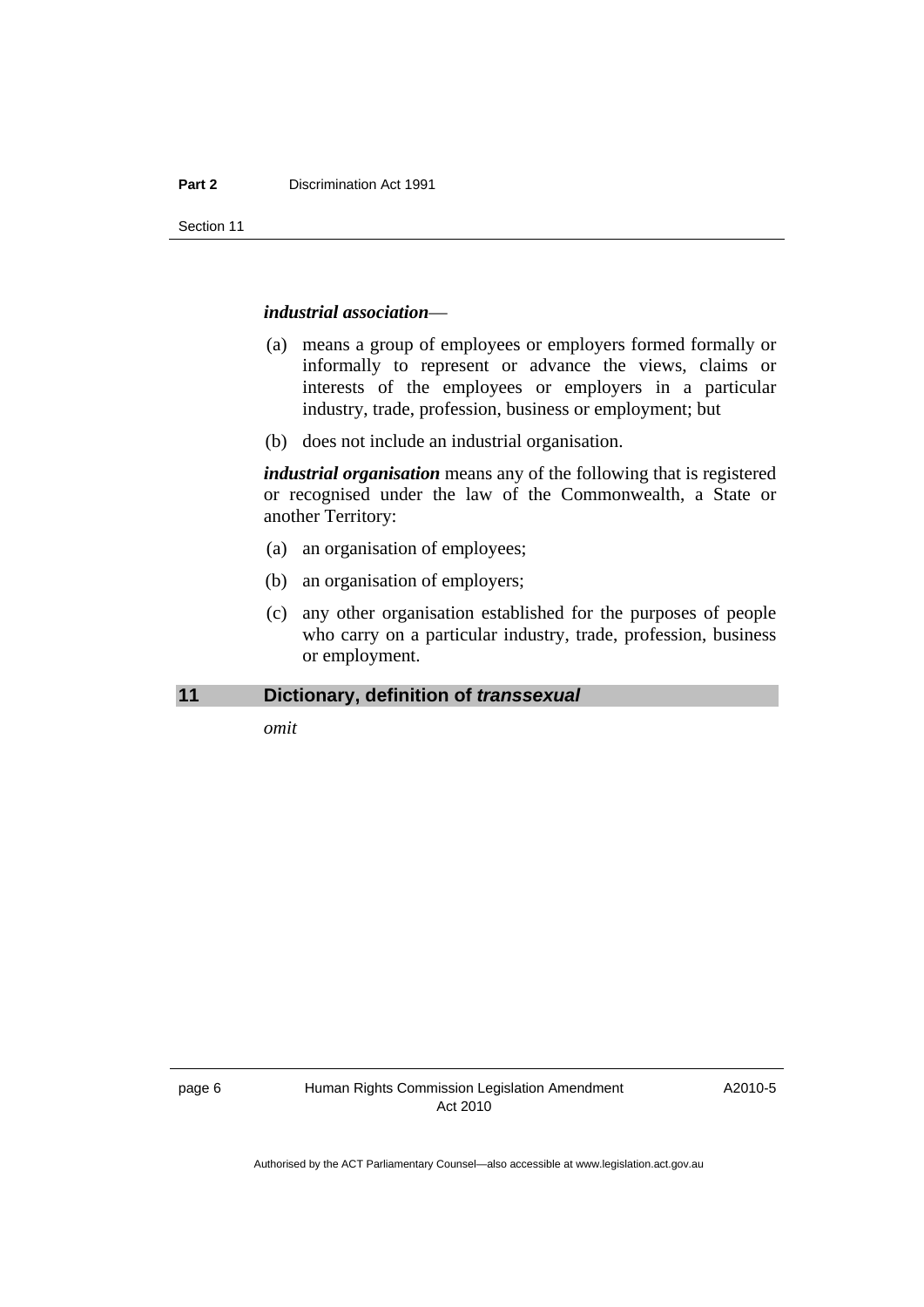<span id="page-7-0"></span>Section 11

#### *industrial association*—

- (a) means a group of employees or employers formed formally or informally to represent or advance the views, claims or interests of the employees or employers in a particular industry, trade, profession, business or employment; but
- (b) does not include an industrial organisation.

*industrial organisation* means any of the following that is registered or recognised under the law of the Commonwealth, a State or another Territory:

- (a) an organisation of employees;
- (b) an organisation of employers;
- (c) any other organisation established for the purposes of people who carry on a particular industry, trade, profession, business or employment.

### **11 Dictionary, definition of** *transsexual*

*omit* 

A2010-5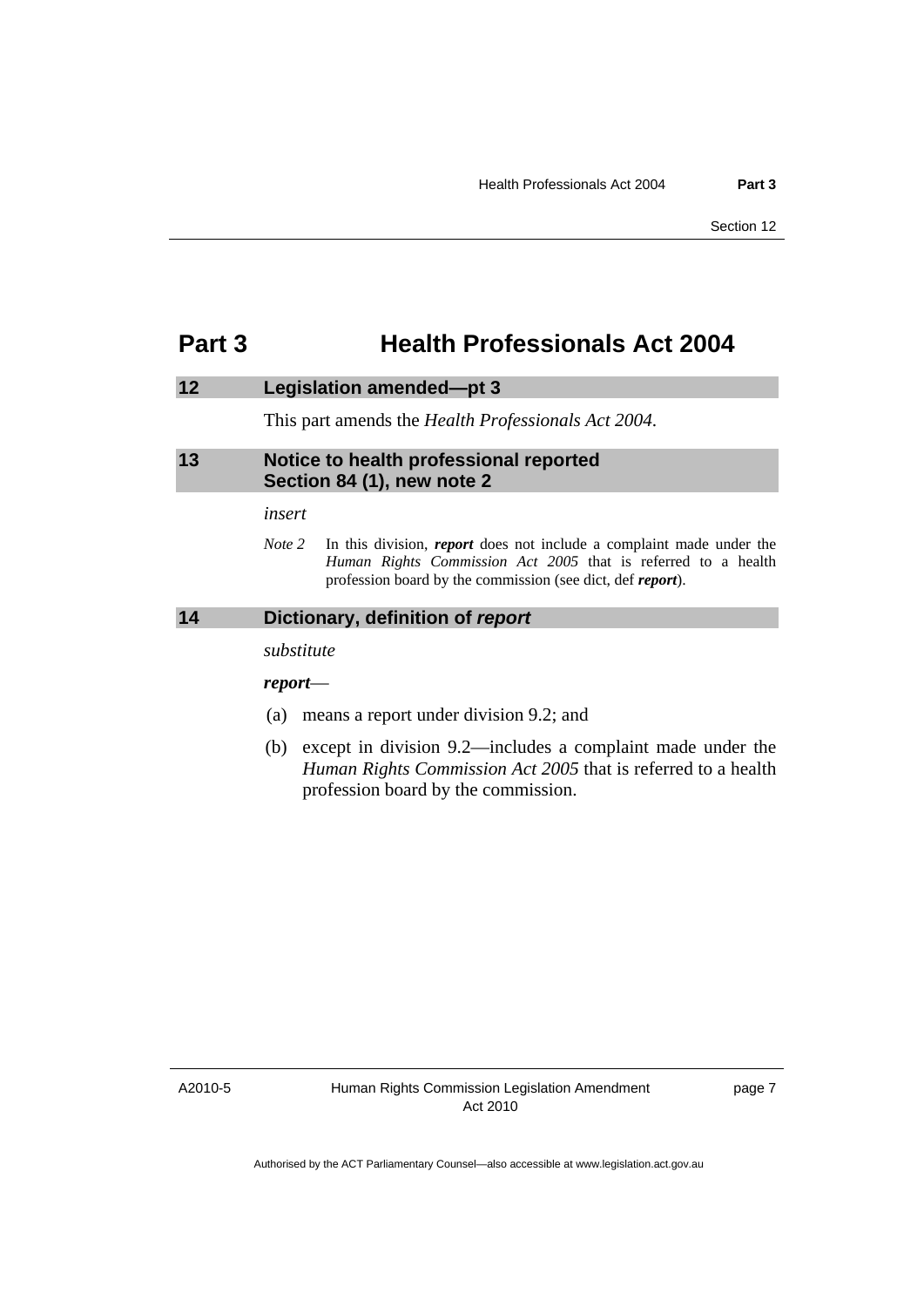# <span id="page-8-0"></span>**Part 3 Health Professionals Act 2004**

# **12 Legislation amended—pt 3**

This part amends the *Health Professionals Act 2004*.

### **13 Notice to health professional reported Section 84 (1), new note 2**

#### *insert*

*Note 2* In this division, *report* does not include a complaint made under the *Human Rights Commission Act 2005* that is referred to a health profession board by the commission (see dict, def *report*).

# **14 Dictionary, definition of** *report*

*substitute* 

*report*—

- (a) means a report under division 9.2; and
- (b) except in division 9.2—includes a complaint made under the *Human Rights Commission Act 2005* that is referred to a health profession board by the commission.

A2010-5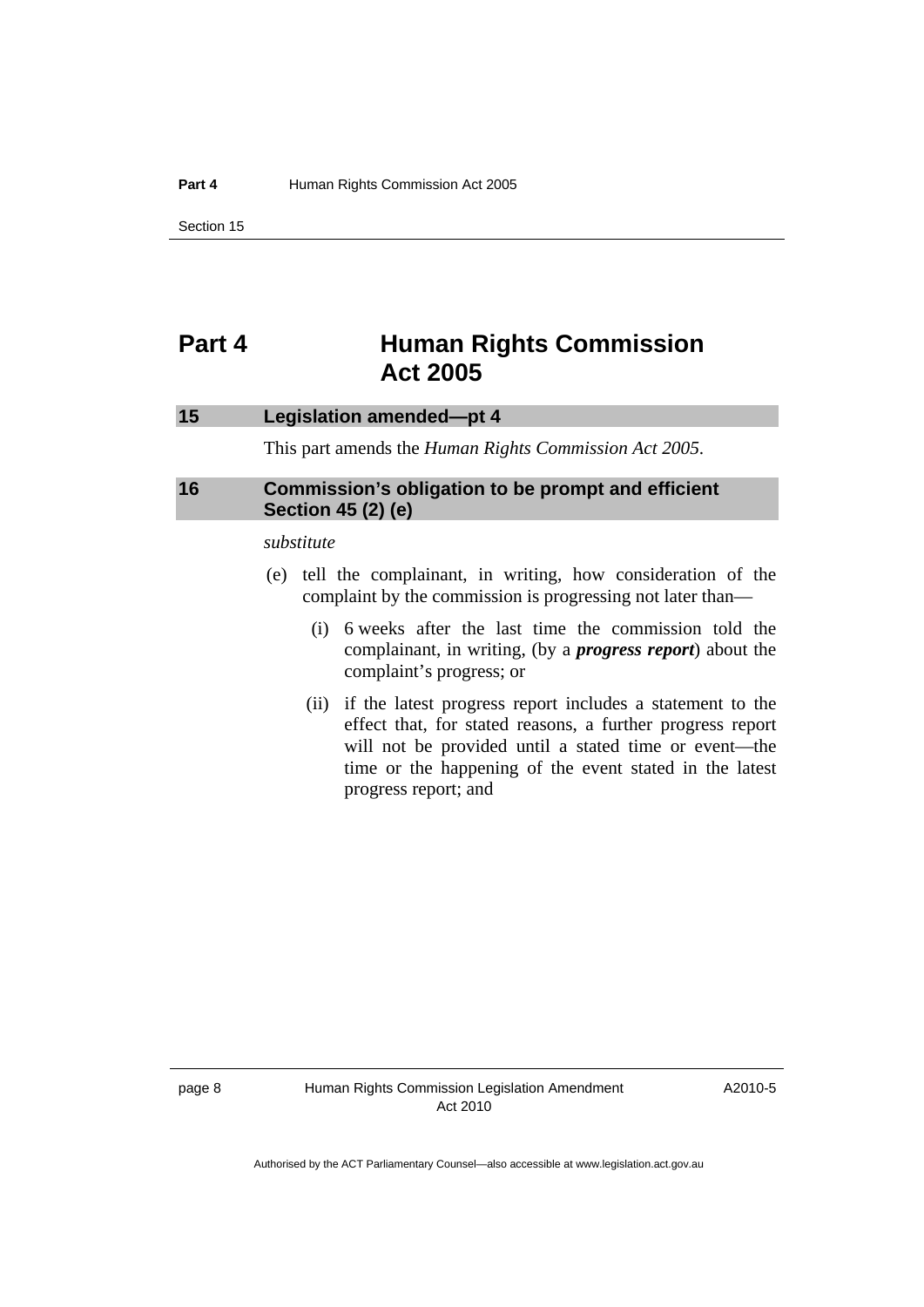<span id="page-9-0"></span>Section 15

# **Part 4 Human Rights Commission Act 2005**

### **15 Legislation amended—pt 4**

This part amends the *Human Rights Commission Act 2005*.

# **16 Commission's obligation to be prompt and efficient Section 45 (2) (e)**

*substitute* 

- (e) tell the complainant, in writing, how consideration of the complaint by the commission is progressing not later than—
	- (i) 6 weeks after the last time the commission told the complainant, in writing, (by a *progress report*) about the complaint's progress; or
	- (ii) if the latest progress report includes a statement to the effect that, for stated reasons, a further progress report will not be provided until a stated time or event—the time or the happening of the event stated in the latest progress report; and

A2010-5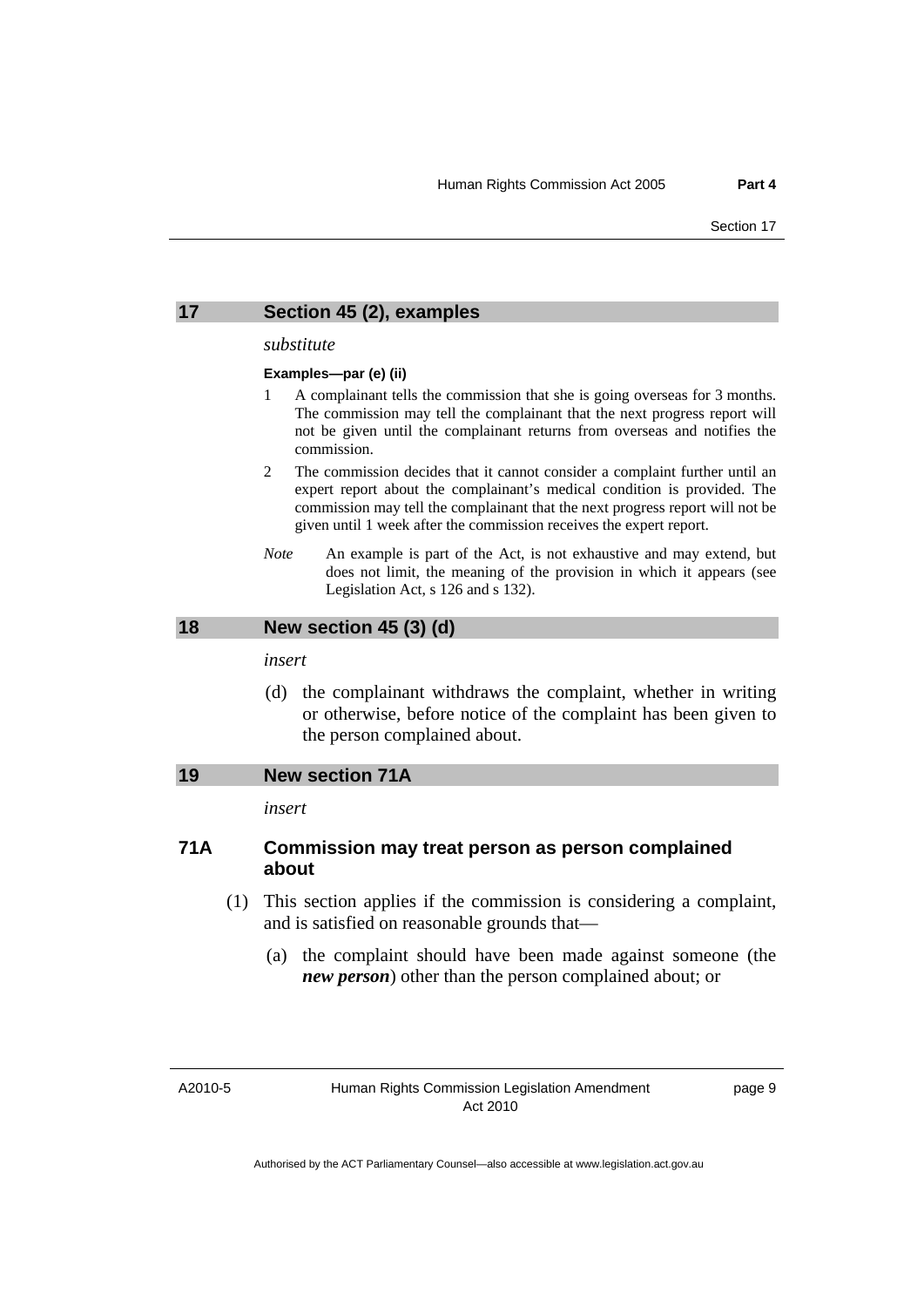<span id="page-10-0"></span>

### **17 Section 45 (2), examples**

#### *substitute*

#### **Examples—par (e) (ii)**

- 1 A complainant tells the commission that she is going overseas for 3 months. The commission may tell the complainant that the next progress report will not be given until the complainant returns from overseas and notifies the commission.
- 2 The commission decides that it cannot consider a complaint further until an expert report about the complainant's medical condition is provided. The commission may tell the complainant that the next progress report will not be given until 1 week after the commission receives the expert report.
- *Note* An example is part of the Act, is not exhaustive and may extend, but does not limit, the meaning of the provision in which it appears (see Legislation Act, s 126 and s 132).

### **18 New section 45 (3) (d)**

*insert* 

 (d) the complainant withdraws the complaint, whether in writing or otherwise, before notice of the complaint has been given to the person complained about.

### **19 New section 71A**

*insert* 

# **71A Commission may treat person as person complained about**

- (1) This section applies if the commission is considering a complaint, and is satisfied on reasonable grounds that—
	- (a) the complaint should have been made against someone (the *new person*) other than the person complained about; or

A2010-5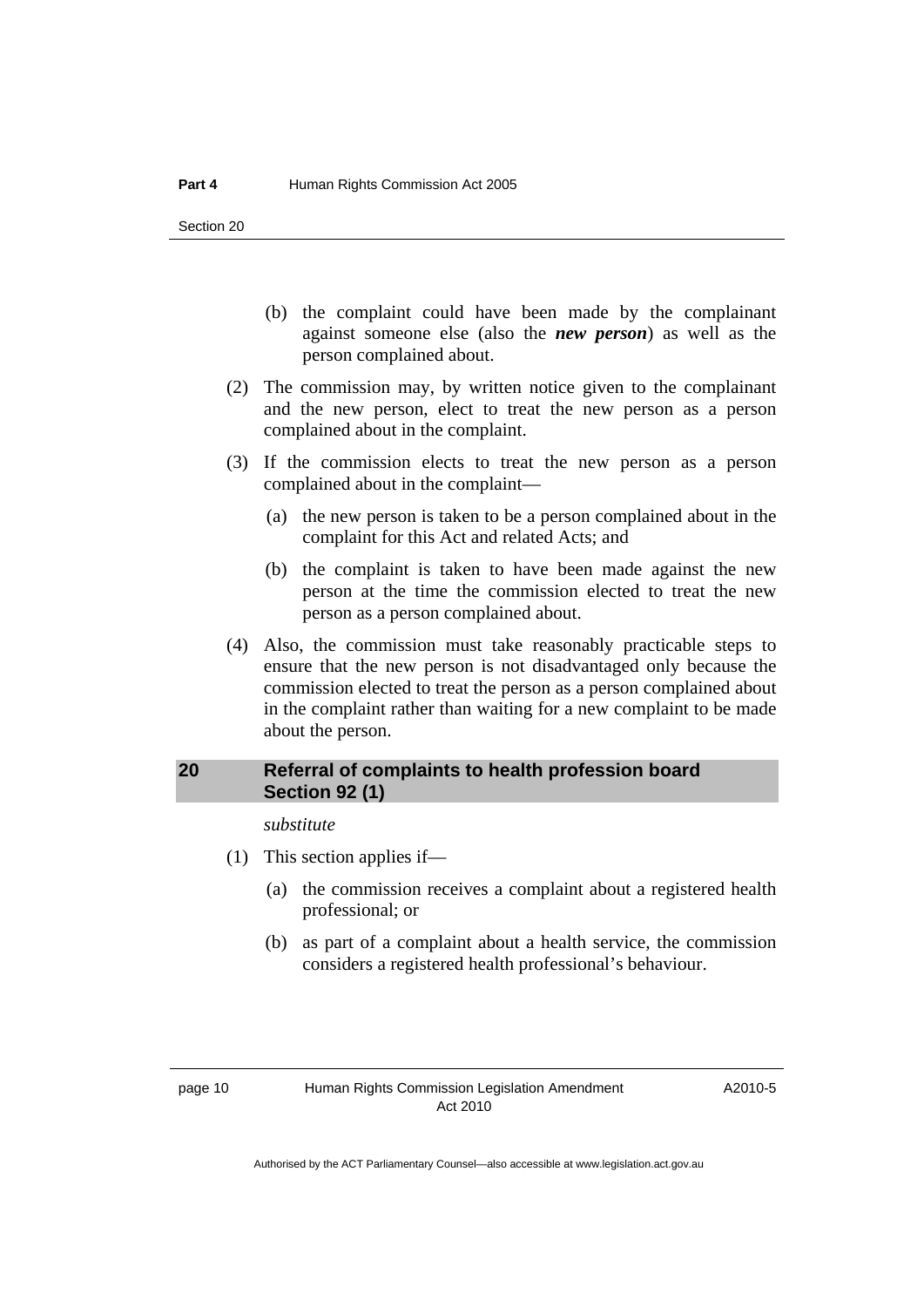- <span id="page-11-0"></span> (b) the complaint could have been made by the complainant against someone else (also the *new person*) as well as the person complained about.
- (2) The commission may, by written notice given to the complainant and the new person, elect to treat the new person as a person complained about in the complaint.
- (3) If the commission elects to treat the new person as a person complained about in the complaint—
	- (a) the new person is taken to be a person complained about in the complaint for this Act and related Acts; and
	- (b) the complaint is taken to have been made against the new person at the time the commission elected to treat the new person as a person complained about.
- (4) Also, the commission must take reasonably practicable steps to ensure that the new person is not disadvantaged only because the commission elected to treat the person as a person complained about in the complaint rather than waiting for a new complaint to be made about the person.

## **20 Referral of complaints to health profession board Section 92 (1)**

*substitute* 

- (1) This section applies if—
	- (a) the commission receives a complaint about a registered health professional; or
	- (b) as part of a complaint about a health service, the commission considers a registered health professional's behaviour.

A2010-5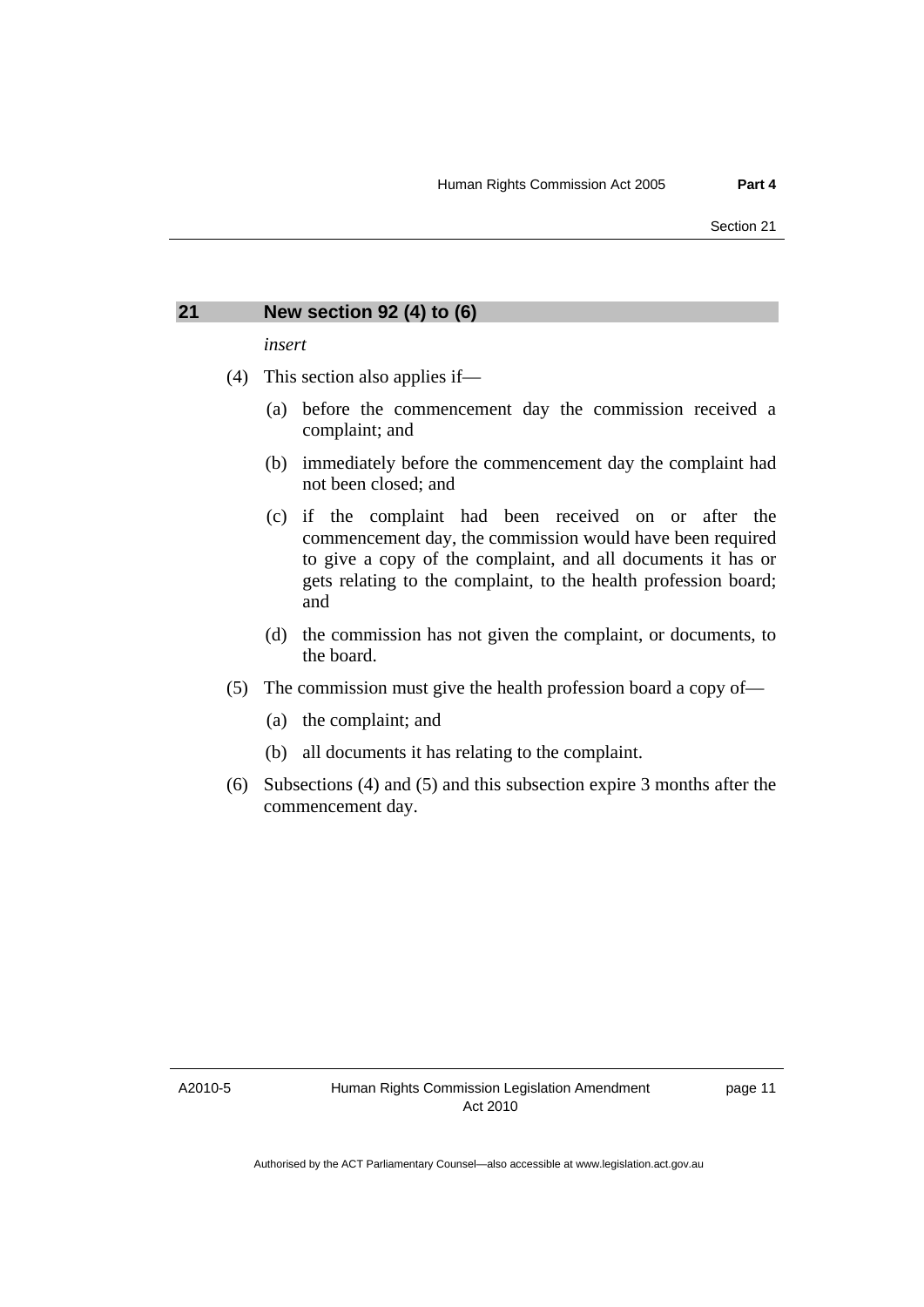### <span id="page-12-0"></span>**21 New section 92 (4) to (6)**

*insert* 

- (4) This section also applies if—
	- (a) before the commencement day the commission received a complaint; and
	- (b) immediately before the commencement day the complaint had not been closed; and
	- (c) if the complaint had been received on or after the commencement day, the commission would have been required to give a copy of the complaint, and all documents it has or gets relating to the complaint, to the health profession board; and
	- (d) the commission has not given the complaint, or documents, to the board.
- (5) The commission must give the health profession board a copy of—
	- (a) the complaint; and
	- (b) all documents it has relating to the complaint.
- (6) Subsections (4) and (5) and this subsection expire 3 months after the commencement day.

A2010-5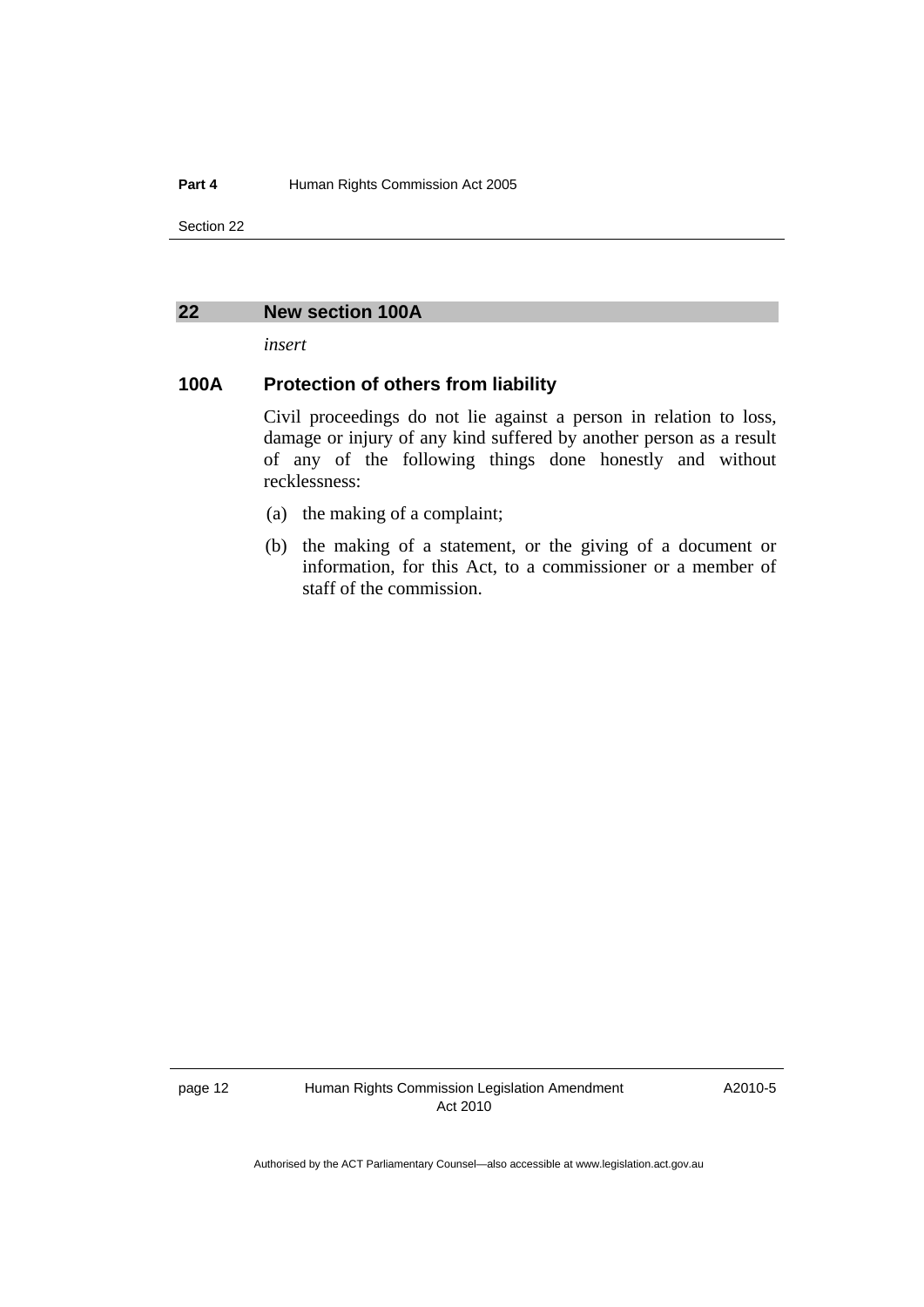<span id="page-13-0"></span>Section 22

### **22 New section 100A**

*insert* 

# **100A Protection of others from liability**

Civil proceedings do not lie against a person in relation to loss, damage or injury of any kind suffered by another person as a result of any of the following things done honestly and without recklessness:

- (a) the making of a complaint;
- (b) the making of a statement, or the giving of a document or information, for this Act, to a commissioner or a member of staff of the commission.

page 12 Human Rights Commission Legislation Amendment Act 2010

A2010-5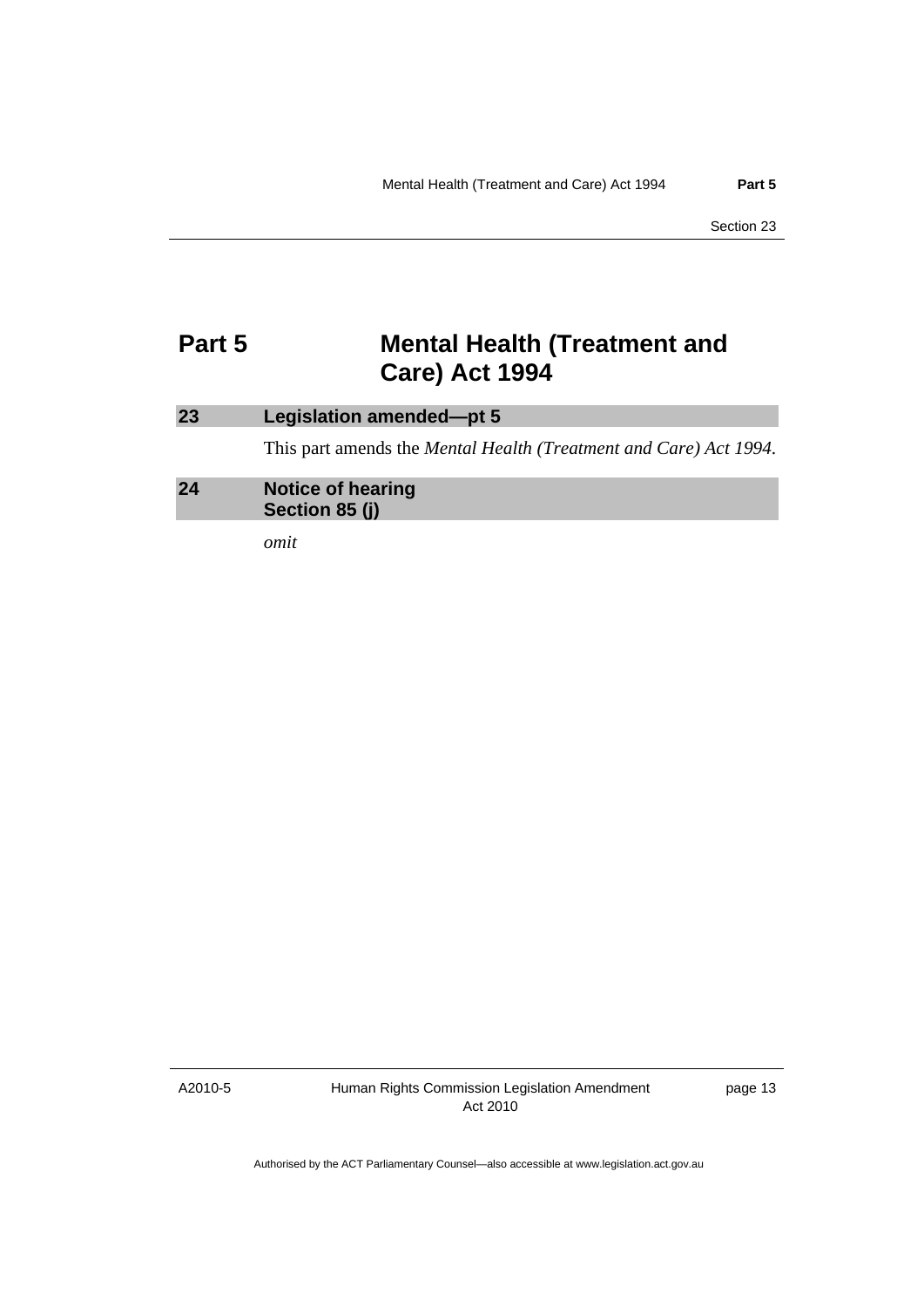# <span id="page-14-0"></span>**Part 5 Mental Health (Treatment and Care) Act 1994**

# **23 Legislation amended—pt 5**  This part amends the *Mental Health (Treatment and Care) Act 1994*. **24 Notice of hearing Section 85 (j)**

*omit* 

A2010-5

Human Rights Commission Legislation Amendment Act 2010

page 13